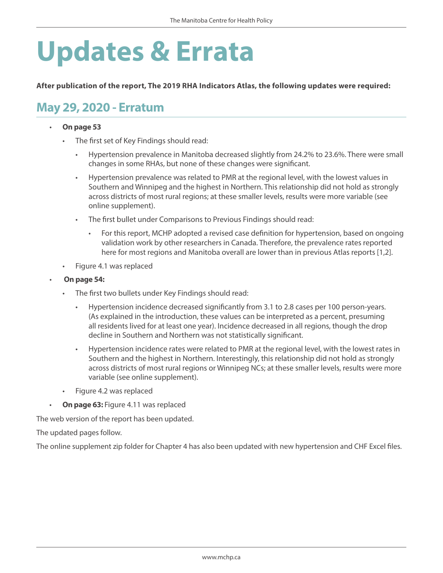# **Updates & Errata**

**After publication of the report, The 2019 RHA Indicators Atlas, the following updates were required:** 

# **May 29, 2020 - Erratum**

#### • **On page 53**

- The first set of Key Findings should read:
	- Hypertension prevalence in Manitoba decreased slightly from 24.2% to 23.6%. There were small changes in some RHAs, but none of these changes were significant.
	- Hypertension prevalence was related to PMR at the regional level, with the lowest values in Southern and Winnipeg and the highest in Northern. This relationship did not hold as strongly across districts of most rural regions; at these smaller levels, results were more variable (see online supplement).
	- The first bullet under Comparisons to Previous Findings should read:
		- For this report, MCHP adopted a revised case definition for hypertension, based on ongoing validation work by other researchers in Canada. Therefore, the prevalence rates reported here for most regions and Manitoba overall are lower than in previous Atlas reports [1,2].
- Figure 4.1 was replaced
- **On page 54:** 
	- The first two bullets under Key Findings should read:
		- Hypertension incidence decreased significantly from 3.1 to 2.8 cases per 100 person-years. (As explained in the introduction, these values can be interpreted as a percent, presuming all residents lived for at least one year). Incidence decreased in all regions, though the drop decline in Southern and Northern was not statistically significant.
		- Hypertension incidence rates were related to PMR at the regional level, with the lowest rates in Southern and the highest in Northern. Interestingly, this relationship did not hold as strongly across districts of most rural regions or Winnipeg NCs; at these smaller levels, results were more variable (see online supplement).
	- • Figure 4.2 was replaced
- **On page 63: Figure 4.11 was replaced**

The web version of the report has been updated.

The updated pages follow.

The online supplement zip folder for Chapter 4 has also been updated with new hypertension and CHF Excel files.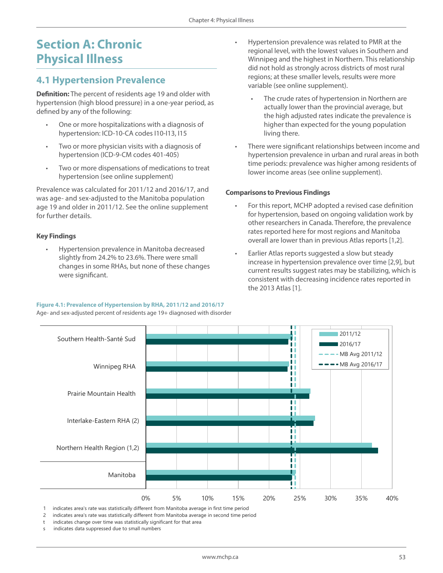# **Section A: Chronic Physical Illness**

### **4.1 Hypertension Prevalence**

**Definition:** The percent of residents age 19 and older with hypertension (high blood pressure) in a one-year period, as defined by any of the following:

- One or more hospitalizations with a diagnosis of hypertension: ICD-10-CA codes I10-I13, I15
- Two or more physician visits with a diagnosis of hypertension (ICD-9-CM codes 401-405)
- Two or more dispensations of medications to treat hypertension (see online supplement)

Prevalence was calculated for 2011/12 and 2016/17, and was age- and sex-adjusted to the Manitoba population age 19 and older in 2011/12. See the online supplement for further details.

#### **Key Findings**

Hypertension prevalence in Manitoba decreased slightly from 24.2% to 23.6%. There were small changes in some RHAs, but none of these changes were significant.

#### **Figure 4.1: Prevalence of Hypertension by RHA, 2011/12 and 2016/17**

Age- and sex-adjusted percent of residents age 19+ diagnosed with disorder

- Hypertension prevalence was related to PMR at the regional level, with the lowest values in Southern and Winnipeg and the highest in Northern. This relationship did not hold as strongly across districts of most rural regions; at these smaller levels, results were more variable (see online supplement).
	- The crude rates of hypertension in Northern are actually lower than the provincial average, but the high adjusted rates indicate the prevalence is higher than expected for the young population living there.
- There were significant relationships between income and hypertension prevalence in urban and rural areas in both time periods: prevalence was higher among residents of lower income areas (see online supplement).

#### **Comparisons to Previous Findings**

- For this report, MCHP adopted a revised case definition for hypertension, based on ongoing validation work by other researchers in Canada. Therefore, the prevalence rates reported here for most regions and Manitoba overall are lower than in previous Atlas reports [1,2].
- Earlier Atlas reports suggested a slow but steady increase in hypertension prevalence over time [2,9], but current results suggest rates may be stabilizing, which is consistent with decreasing incidence rates reported in the 2013 Atlas [1].



1 indicates area's rate was statistically different from Manitoba average in first time period

2 indicates area's rate was statistically different from Manitoba average in second time period

- indicates change over time was statistically significant for that area
- indicates data suppressed due to small numbers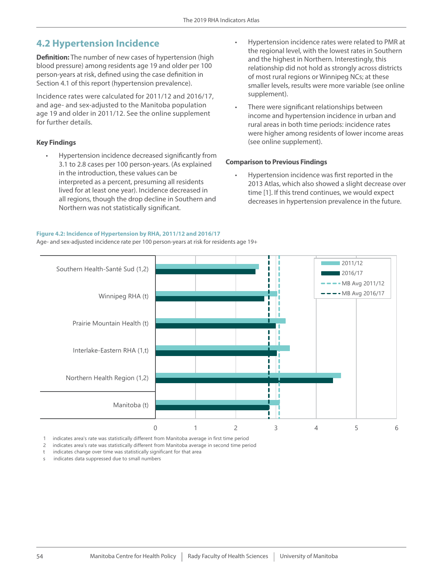## **4.2 Hypertension Incidence**

**Definition:** The number of new cases of hypertension (high blood pressure) among residents age 19 and older per 100 person-years at risk, defined using the case definition in Section 4.1 of this report (hypertension prevalence).

Incidence rates were calculated for 2011/12 and 2016/17, and age- and sex-adjusted to the Manitoba population age 19 and older in 2011/12. See the online supplement for further details.

#### **Key Findings**

Hypertension incidence decreased significantly from 3.1 to 2.8 cases per 100 person-years. (As explained in the introduction, these values can be interpreted as a percent, presuming all residents lived for at least one year). Incidence decreased in all regions, though the drop decline in Southern and Northern was not statistically significant.

**Figure 4.2: Incidence of Hypertension by RHA, 2011/12 and 2016/17**

Age- and sex-adjusted incidence rate per 100 person-years at risk for residents age 19+

- Hypertension incidence rates were related to PMR at the regional level, with the lowest rates in Southern and the highest in Northern. Interestingly, this relationship did not hold as strongly across districts of most rural regions or Winnipeg NCs; at these smaller levels, results were more variable (see online supplement).
- There were significant relationships between income and hypertension incidence in urban and rural areas in both time periods: incidence rates were higher among residents of lower income areas (see online supplement).

#### **Comparison to Previous Findings**

Hypertension incidence was first reported in the 2013 Atlas, which also showed a slight decrease over time [1]. If this trend continues, we would expect decreases in hypertension prevalence in the future.



1 indicates area's rate was statistically different from Manitoba average in first time period

2 indicates area's rate was statistically different from Manitoba average in second time period

t indicates change over time was statistically significant for that area

s indicates data suppressed due to small numbers